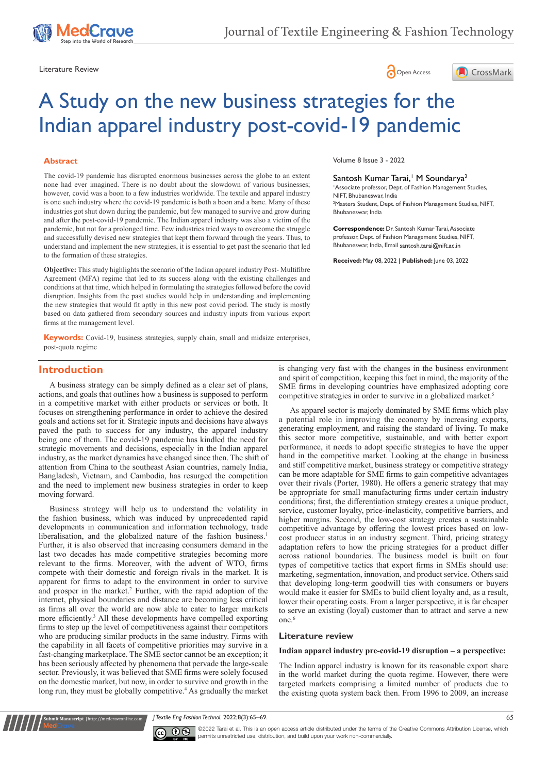

Literature Review **Constant Constant Constant Constant Constant Constant Constant Constant Constant Constant Constant Constant Constant Constant Constant Constant Constant Constant Constant Constant Constant Constant Const** 





# A Study on the new business strategies for the Indian apparel industry post-covid-19 pandemic

#### **Abstract**

The covid-19 pandemic has disrupted enormous businesses across the globe to an extent none had ever imagined. There is no doubt about the slowdown of various businesses; however, covid was a boon to a few industries worldwide. The textile and apparel industry is one such industry where the covid-19 pandemic is both a boon and a bane. Many of these industries got shut down during the pandemic, but few managed to survive and grow during and after the post-covid-19 pandemic. The Indian apparel industry was also a victim of the pandemic, but not for a prolonged time. Few industries tried ways to overcome the struggle and successfully devised new strategies that kept them forward through the years. Thus, to understand and implement the new strategies, it is essential to get past the scenario that led to the formation of these strategies.

**Objective:** This study highlights the scenario of the Indian apparel industry Post- Multifibre Agreement (MFA) regime that led to its success along with the existing challenges and conditions at that time, which helped in formulating the strategies followed before the covid disruption. Insights from the past studies would help in understanding and implementing the new strategies that would fit aptly in this new post covid period. The study is mostly based on data gathered from secondary sources and industry inputs from various export firms at the management level.

**Keywords:** Covid-19, business strategies, supply chain, small and midsize enterprises, post-quota regime

Volume 8 Issue 3 - 2022

## Santosh Kumar Tarai,<sup>1</sup> M Soundarya<sup>2</sup>

1 Associate professor, Dept. of Fashion Management Studies, NIFT, Bhubaneswar, India <sup>2</sup>Masters Student, Dept. of Fashion Management Studies, NIFT, Bhubaneswar, India

**Correspondence:** Dr. Santosh Kumar Tarai, Associate professor, Dept. of Fashion Management Studies, NIFT, .<br>Bhubaneswar, India, Email santosh.tarai@nift.ac.in

**Received:** May 08, 2022 | **Published:** June 03, 2022

# **Introduction**

A business strategy can be simply defined as a clear set of plans, actions, and goals that outlines how a business is supposed to perform in a competitive market with either products or services or both. It focuses on strengthening performance in order to achieve the desired goals and actions set for it. Strategic inputs and decisions have always paved the path to success for any industry, the apparel industry being one of them. The covid-19 pandemic has kindled the need for strategic movements and decisions, especially in the Indian apparel industry, as the market dynamics have changed since then. The shift of attention from China to the southeast Asian countries, namely India, Bangladesh, Vietnam, and Cambodia, has resurged the competition and the need to implement new business strategies in order to keep moving forward.

Business strategy will help us to understand the volatility in the fashion business, which was induced by unprecedented rapid developments in communication and information technology, trade liberalisation, and the globalized nature of the fashion business.<sup>1</sup> Further, it is also observed that increasing consumers demand in the last two decades has made competitive strategies becoming more relevant to the firms. Moreover, with the advent of WTO, firms compete with their domestic and foreign rivals in the market. It is apparent for firms to adapt to the environment in order to survive and prosper in the market.<sup>2</sup> Further, with the rapid adoption of the internet, physical boundaries and distance are becoming less critical as firms all over the world are now able to cater to larger markets more efficiently.<sup>3</sup> All these developments have compelled exporting firms to step up the level of competitiveness against their competitors who are producing similar products in the same industry. Firms with the capability in all facets of competitive priorities may survive in a fast-changing marketplace. The SME sector cannot be an exception; it has been seriously affected by phenomena that pervade the large-scale sector. Previously, it was believed that SME firms were solely focused on the domestic market, but now, in order to survive and growth in the long run, they must be globally competitive.<sup>4</sup> As gradually the market is changing very fast with the changes in the business environment and spirit of competition, keeping this fact in mind, the majority of the SME firms in developing countries have emphasized adopting core competitive strategies in order to survive in a globalized market.<sup>5</sup>

As apparel sector is majorly dominated by SME firms which play a potential role in improving the economy by increasing exports, generating employment, and raising the standard of living. To make this sector more competitive, sustainable, and with better export performance, it needs to adopt specific strategies to have the upper hand in the competitive market. Looking at the change in business and stiff competitive market, business strategy or competitive strategy can be more adaptable for SME firms to gain competitive advantages over their rivals (Porter, 1980). He offers a generic strategy that may be appropriate for small manufacturing firms under certain industry conditions; first, the differentiation strategy creates a unique product, service, customer loyalty, price-inelasticity, competitive barriers, and higher margins. Second, the low-cost strategy creates a sustainable competitive advantage by offering the lowest prices based on lowcost producer status in an industry segment. Third, pricing strategy adaptation refers to how the pricing strategies for a product differ across national boundaries. The business model is built on four types of competitive tactics that export firms in SMEs should use: marketing, segmentation, innovation, and product service. Others said that developing long-term goodwill ties with consumers or buyers would make it easier for SMEs to build client loyalty and, as a result, lower their operating costs. From a larger perspective, it is far cheaper to serve an existing (loyal) customer than to attract and serve a new one.<sup>6</sup>

#### **Literature review**

#### **Indian apparel industry pre-covid-19 disruption – a perspective:**

The Indian apparel industry is known for its reasonable export share in the world market during the quota regime. However, there were targeted markets comprising a limited number of products due to the existing quota system back then. From 1996 to 2009, an increase

*J Textile Eng Fashion Technol.* 2022;8(3):65‒69. 65



**it Manuscript** | http://medcraveonline.com

©2022 Tarai et al. This is an open access article distributed under the terms of the Creative Commons Attribution License, which permits unrestricted use, distribution, and build upon your work non-commercially.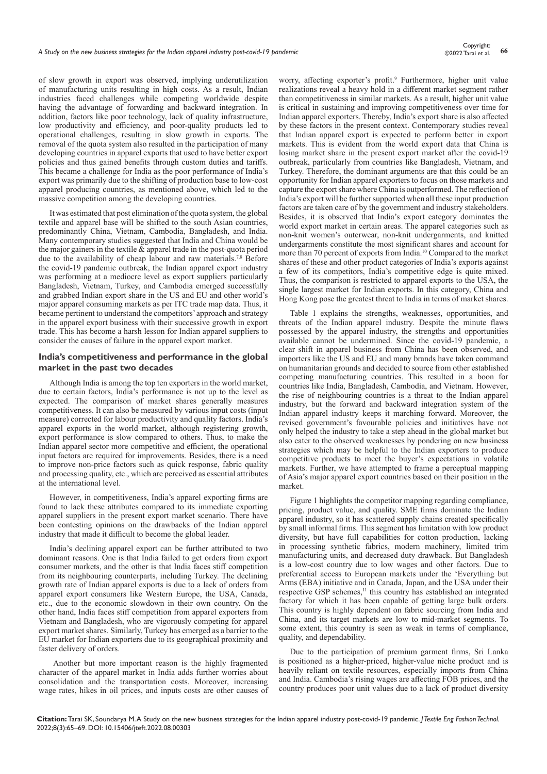of slow growth in export was observed, implying underutilization of manufacturing units resulting in high costs. As a result, Indian industries faced challenges while competing worldwide despite having the advantage of forwarding and backward integration. In addition, factors like poor technology, lack of quality infrastructure, low productivity and efficiency, and poor-quality products led to operational challenges, resulting in slow growth in exports. The removal of the quota system also resulted in the participation of many developing countries in apparel exports that used to have better export policies and thus gained benefits through custom duties and tariffs. This became a challenge for India as the poor performance of India's export was primarily due to the shifting of production base to low-cost apparel producing countries, as mentioned above, which led to the massive competition among the developing countries.

It was estimated that post elimination of the quota system, the global textile and apparel base will be shifted to the south Asian countries, predominantly China, Vietnam, Cambodia, Bangladesh, and India. Many contemporary studies suggested that India and China would be the major gainers in the textile & apparel trade in the post-quota period due to the availability of cheap labour and raw materials.<sup>7,8</sup> Before the covid-19 pandemic outbreak, the Indian apparel export industry was performing at a mediocre level as export suppliers particularly Bangladesh, Vietnam, Turkey, and Cambodia emerged successfully and grabbed Indian export share in the US and EU and other world's major apparel consuming markets as per ITC trade map data. Thus, it became pertinent to understand the competitors' approach and strategy in the apparel export business with their successive growth in export trade. This has become a harsh lesson for Indian apparel suppliers to consider the causes of failure in the apparel export market.

## **India's competitiveness and performance in the global market in the past two decades**

Although India is among the top ten exporters in the world market, due to certain factors, India's performance is not up to the level as expected. The comparison of market shares generally measures competitiveness. It can also be measured by various input costs (input measure) corrected for labour productivity and quality factors. India's apparel exports in the world market, although registering growth, export performance is slow compared to others. Thus, to make the Indian apparel sector more competitive and efficient, the operational input factors are required for improvements. Besides, there is a need to improve non-price factors such as quick response, fabric quality and processing quality, etc., which are perceived as essential attributes at the international level.

However, in competitiveness, India's apparel exporting firms are found to lack these attributes compared to its immediate exporting apparel suppliers in the present export market scenario. There have been contesting opinions on the drawbacks of the Indian apparel industry that made it difficult to become the global leader.

India's declining apparel export can be further attributed to two dominant reasons. One is that India failed to get orders from export consumer markets, and the other is that India faces stiff competition from its neighbouring counterparts, including Turkey. The declining growth rate of Indian apparel exports is due to a lack of orders from apparel export consumers like Western Europe, the USA, Canada, etc., due to the economic slowdown in their own country. On the other hand, India faces stiff competition from apparel exporters from Vietnam and Bangladesh, who are vigorously competing for apparel export market shares. Similarly, Turkey has emerged as a barrier to the EU market for Indian exporters due to its geographical proximity and faster delivery of orders.

 Another but more important reason is the highly fragmented character of the apparel market in India adds further worries about consolidation and the transportation costs. Moreover, increasing wage rates, hikes in oil prices, and inputs costs are other causes of worry, affecting exporter's profit.<sup>9</sup> Furthermore, higher unit value realizations reveal a heavy hold in a different market segment rather than competitiveness in similar markets. As a result, higher unit value is critical in sustaining and improving competitiveness over time for Indian apparel exporters. Thereby, India's export share is also affected by these factors in the present context. Contemporary studies reveal that Indian apparel export is expected to perform better in export markets. This is evident from the world export data that China is losing market share in the present export market after the covid-19 outbreak, particularly from countries like Bangladesh, Vietnam, and Turkey. Therefore, the dominant arguments are that this could be an opportunity for Indian apparel exporters to focus on those markets and capture the export share where China is outperformed. The reflection of India's export will be further supported when all these input production factors are taken care of by the government and industry stakeholders. Besides, it is observed that India's export category dominates the world export market in certain areas. The apparel categories such as non-knit women's outerwear, non-knit undergarments, and knitted undergarments constitute the most significant shares and account for more than 70 percent of exports from India.10 Compared to the market shares of these and other product categories of India's exports against a few of its competitors, India's competitive edge is quite mixed. Thus, the comparison is restricted to apparel exports to the USA, the single largest market for Indian exports. In this category, China and Hong Kong pose the greatest threat to India in terms of market shares.

Table 1 explains the strengths, weaknesses, opportunities, and threats of the Indian apparel industry. Despite the minute flaws possessed by the apparel industry, the strengths and opportunities available cannot be undermined. Since the covid-19 pandemic, a clear shift in apparel business from China has been observed, and importers like the US and EU and many brands have taken command on humanitarian grounds and decided to source from other established competing manufacturing countries. This resulted in a boon for countries like India, Bangladesh, Cambodia, and Vietnam. However, the rise of neighbouring countries is a threat to the Indian apparel industry, but the forward and backward integration system of the Indian apparel industry keeps it marching forward. Moreover, the revised government's favourable policies and initiatives have not only helped the industry to take a step ahead in the global market but also cater to the observed weaknesses by pondering on new business strategies which may be helpful to the Indian exporters to produce competitive products to meet the buyer's expectations in volatile markets. Further, we have attempted to frame a perceptual mapping of Asia's major apparel export countries based on their position in the market.

Figure 1 highlights the competitor mapping regarding compliance, pricing, product value, and quality. SME firms dominate the Indian apparel industry, so it has scattered supply chains created specifically by small informal firms. This segment has limitation with low product diversity, but have full capabilities for cotton production, lacking in processing synthetic fabrics, modern machinery, limited trim manufacturing units, and decreased duty drawback. But Bangladesh is a low-cost country due to low wages and other factors. Due to preferential access to European markets under the 'Everything but Arms (EBA) initiative and in Canada, Japan, and the USA under their respective GSP schemes,<sup>11</sup> this country has established an integrated factory for which it has been capable of getting large bulk orders. This country is highly dependent on fabric sourcing from India and China, and its target markets are low to mid-market segments. To some extent, this country is seen as weak in terms of compliance, quality, and dependability.

Due to the participation of premium garment firms, Sri Lanka is positioned as a higher-priced, higher-value niche product and is heavily reliant on textile resources, especially imports from China and India. Cambodia's rising wages are affecting FOB prices, and the country produces poor unit values due to a lack of product diversity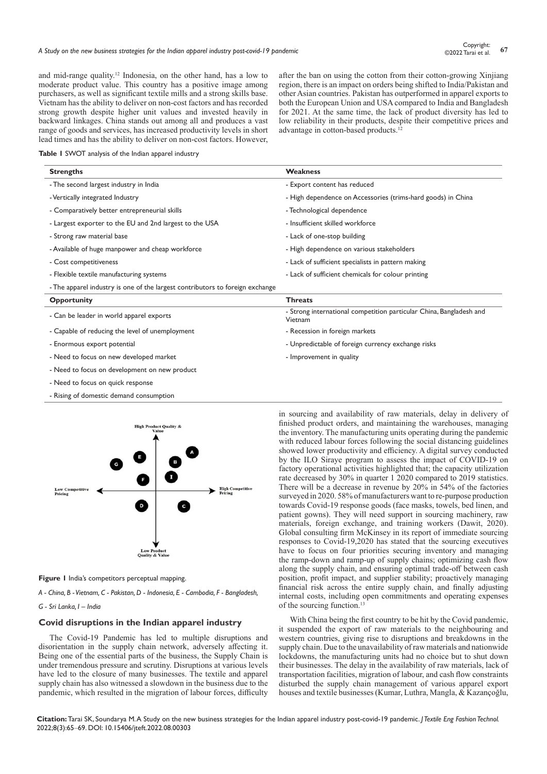and mid-range quality.12 Indonesia, on the other hand, has a low to moderate product value. This country has a positive image among purchasers, as well as significant textile mills and a strong skills base. Vietnam has the ability to deliver on non-cost factors and has recorded strong growth despite higher unit values and invested heavily in backward linkages. China stands out among all and produces a vast range of goods and services, has increased productivity levels in short lead times and has the ability to deliver on non-cost factors. However,

after the ban on using the cotton from their cotton-growing Xinjiang region, there is an impact on orders being shifted to India/Pakistan and other Asian countries. Pakistan has outperformed in apparel exports to both the European Union and USA compared to India and Bangladesh for 2021. At the same time, the lack of product diversity has led to low reliability in their products, despite their competitive prices and advantage in cotton-based products.<sup>1</sup>

**Table 1** SWOT analysis of the Indian apparel industry

| <b>Strengths</b>                                                              | <b>Weakness</b>                                                                |
|-------------------------------------------------------------------------------|--------------------------------------------------------------------------------|
| - The second largest industry in India                                        | - Export content has reduced                                                   |
| - Vertically integrated Industry                                              | - High dependence on Accessories (trims-hard goods) in China                   |
| - Comparatively better entrepreneurial skills                                 | - Technological dependence                                                     |
| - Largest exporter to the EU and 2nd largest to the USA                       | - Insufficient skilled workforce                                               |
| - Strong raw material base                                                    | - Lack of one-stop building                                                    |
| - Available of huge manpower and cheap workforce                              | - High dependence on various stakeholders                                      |
| - Cost competitiveness                                                        | - Lack of sufficient specialists in pattern making                             |
| - Flexible textile manufacturing systems                                      | - Lack of sufficient chemicals for colour printing                             |
| - The apparel industry is one of the largest contributors to foreign exchange |                                                                                |
| <b>Opportunity</b>                                                            | <b>Threats</b>                                                                 |
| - Can be leader in world apparel exports                                      | - Strong international competition particular China, Bangladesh and<br>Vietnam |
| - Capable of reducing the level of unemployment                               | - Recession in foreign markets                                                 |
| - Enormous export potential                                                   | - Unpredictable of foreign currency exchange risks                             |
| - Need to focus on new developed market                                       | - Improvement in quality                                                       |
| - Need to focus on development on new product                                 |                                                                                |
| - Need to focus on quick response                                             |                                                                                |
|                                                                               |                                                                                |

- Rising of domestic demand consumption



**Figure 1** India's competitors perceptual mapping.

*A - China, B - Vietnam, C - Pakistan, D - Indonesia, E - Cambodia, F - Bangladesh,* 

*G - Sri Lanka, I – India*

#### **Covid disruptions in the Indian apparel industry**

The Covid-19 Pandemic has led to multiple disruptions and disorientation in the supply chain network, adversely affecting it. Being one of the essential parts of the business, the Supply Chain is under tremendous pressure and scrutiny. Disruptions at various levels have led to the closure of many businesses. The textile and apparel supply chain has also witnessed a slowdown in the business due to the pandemic, which resulted in the migration of labour forces, difficulty

in sourcing and availability of raw materials, delay in delivery of finished product orders, and maintaining the warehouses, managing the inventory. The manufacturing units operating during the pandemic with reduced labour forces following the social distancing guidelines showed lower productivity and efficiency. A digital survey conducted by the ILO Siraye program to assess the impact of COVID-19 on factory operational activities highlighted that; the capacity utilization rate decreased by 30% in quarter 1 2020 compared to 2019 statistics. There will be a decrease in revenue by 20% in 54% of the factories surveyed in 2020. 58% of manufacturers want to re-purpose production towards Covid-19 response goods (face masks, towels, bed linen, and patient gowns). They will need support in sourcing machinery, raw materials, foreign exchange, and training workers (Dawit, 2020). Global consulting firm McKinsey in its report of immediate sourcing responses to Covid-19,2020 has stated that the sourcing executives have to focus on four priorities securing inventory and managing the ramp-down and ramp-up of supply chains; optimizing cash flow along the supply chain, and ensuring optimal trade-off between cash position, profit impact, and supplier stability; proactively managing financial risk across the entire supply chain, and finally adjusting internal costs, including open commitments and operating expenses of the sourcing function.<sup>13</sup>

With China being the first country to be hit by the Covid pandemic, it suspended the export of raw materials to the neighbouring and western countries, giving rise to disruptions and breakdowns in the supply chain. Due to the unavailability of raw materials and nationwide lockdowns, the manufacturing units had no choice but to shut down their businesses. The delay in the availability of raw materials, lack of transportation facilities, migration of labour, and cash flow constraints disturbed the supply chain management of various apparel export houses and textile businesses (Kumar, Luthra, Mangla, & Kazançoğlu,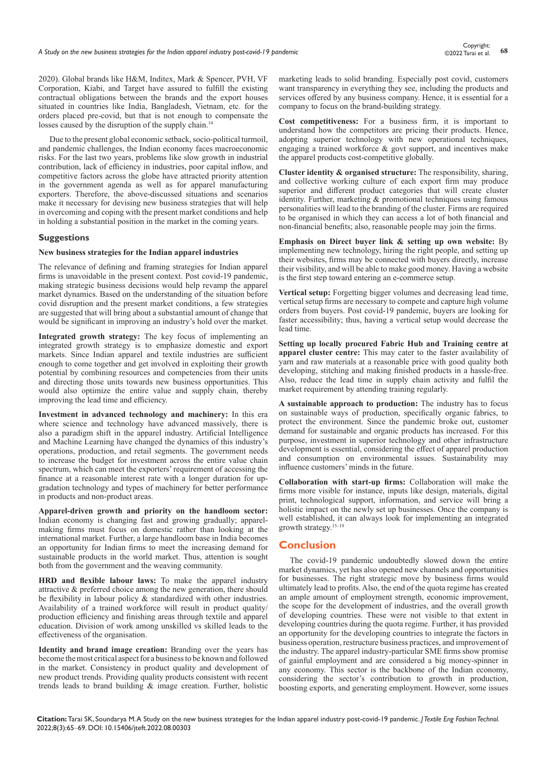2020). Global brands like H&M, Inditex, Mark & Spencer, PVH, VF Corporation, Kiabi, and Target have assured to fulfill the existing contractual obligations between the brands and the export houses situated in countries like India, Bangladesh, Vietnam, etc. for the orders placed pre-covid, but that is not enough to compensate the losses caused by the disruption of the supply chain.<sup>14</sup>

Due to the present global economic setback, socio-political turmoil, and pandemic challenges, the Indian economy faces macroeconomic risks. For the last two years, problems like slow growth in industrial contribution, lack of efficiency in industries, poor capital inflow, and competitive factors across the globe have attracted priority attention in the government agenda as well as for apparel manufacturing exporters. Therefore, the above-discussed situations and scenarios make it necessary for devising new business strategies that will help in overcoming and coping with the present market conditions and help in holding a substantial position in the market in the coming years.

#### **Suggestions**

#### **New business strategies for the Indian apparel industries**

The relevance of defining and framing strategies for Indian apparel firms is unavoidable in the present context. Post covid-19 pandemic, making strategic business decisions would help revamp the apparel market dynamics. Based on the understanding of the situation before covid disruption and the present market conditions, a few strategies are suggested that will bring about a substantial amount of change that would be significant in improving an industry's hold over the market.

**Integrated growth strategy:** The key focus of implementing an integrated growth strategy is to emphasize domestic and export markets. Since Indian apparel and textile industries are sufficient enough to come together and get involved in exploiting their growth potential by combining resources and competencies from their units and directing those units towards new business opportunities. This would also optimize the entire value and supply chain, thereby improving the lead time and efficiency.

**Investment in advanced technology and machinery:** In this era where science and technology have advanced massively, there is also a paradigm shift in the apparel industry. Artificial Intelligence and Machine Learning have changed the dynamics of this industry's operations, production, and retail segments. The government needs to increase the budget for investment across the entire value chain spectrum, which can meet the exporters' requirement of accessing the finance at a reasonable interest rate with a longer duration for upgradation technology and types of machinery for better performance in products and non-product areas.

**Apparel-driven growth and priority on the handloom sector:** Indian economy is changing fast and growing gradually; apparelmaking firms must focus on domestic rather than looking at the international market. Further, a large handloom base in India becomes an opportunity for Indian firms to meet the increasing demand for sustainable products in the world market. Thus, attention is sought both from the government and the weaving community.

**HRD and flexible labour laws:** To make the apparel industry attractive & preferred choice among the new generation, there should be flexibility in labour policy & standardized with other industries. Availability of a trained workforce will result in product quality/ production efficiency and finishing areas through textile and apparel education. Division of work among unskilled vs skilled leads to the effectiveness of the organisation.

**Identity and brand image creation:** Branding over the years has become the most critical aspect for a business to be known and followed in the market. Consistency in product quality and development of new product trends. Providing quality products consistent with recent trends leads to brand building & image creation. Further, holistic marketing leads to solid branding. Especially post covid, customers want transparency in everything they see, including the products and services offered by any business company. Hence, it is essential for a company to focus on the brand-building strategy.

**Cost competitiveness:** For a business firm, it is important to understand how the competitors are pricing their products. Hence, adopting superior technology with new operational techniques, engaging a trained workforce & govt support, and incentives make the apparel products cost-competitive globally.

**Cluster identity & organised structure:** The responsibility, sharing, and collective working culture of each export firm may produce superior and different product categories that will create cluster identity. Further, marketing & promotional techniques using famous personalities will lead to the branding of the cluster. Firms are required to be organised in which they can access a lot of both financial and non-financial benefits; also, reasonable people may join the firms.

**Emphasis on Direct buyer link & setting up own website:** By implementing new technology, hiring the right people, and setting up their websites, firms may be connected with buyers directly, increase their visibility, and will be able to make good money. Having a website is the first step toward entering an e-commerce setup.

**Vertical setup:** Forgetting bigger volumes and decreasing lead time, vertical setup firms are necessary to compete and capture high volume orders from buyers. Post covid-19 pandemic, buyers are looking for faster accessibility; thus, having a vertical setup would decrease the lead time.

**Setting up locally procured Fabric Hub and Training centre at apparel cluster centre:** This may cater to the faster availability of yarn and raw materials at a reasonable price with good quality both developing, stitching and making finished products in a hassle-free. Also, reduce the lead time in supply chain activity and fulfil the market requirement by attending training regularly.

**A sustainable approach to production:** The industry has to focus on sustainable ways of production, specifically organic fabrics, to protect the environment. Since the pandemic broke out, customer demand for sustainable and organic products has increased. For this purpose, investment in superior technology and other infrastructure development is essential, considering the effect of apparel production and consumption on environmental issues. Sustainability may influence customers' minds in the future.

**Collaboration with start-up firms:** Collaboration will make the firms more visible for instance, inputs like design, materials, digital print, technological support, information, and service will bring a holistic impact on the newly set up businesses. Once the company is well established, it can always look for implementing an integrated growth strategy.15–19

# **Conclusion**

The covid-19 pandemic undoubtedly slowed down the entire market dynamics, yet has also opened new channels and opportunities for businesses. The right strategic move by business firms would ultimately lead to profits. Also, the end of the quota regime has created an ample amount of employment strength, economic improvement, the scope for the development of industries, and the overall growth of developing countries. These were not visible to that extent in developing countries during the quota regime. Further, it has provided an opportunity for the developing countries to integrate the factors in business operation, restructure business practices, and improvement of the industry. The apparel industry-particular SME firms show promise of gainful employment and are considered a big money-spinner in any economy. This sector is the backbone of the Indian economy, considering the sector's contribution to growth in production, boosting exports, and generating employment. However, some issues

**Citation:** Tarai SK, Soundarya M. A Study on the new business strategies for the Indian apparel industry post-covid-19 pandemic. *J Textile Eng Fashion Technol.* 2022;8(3):65‒69. DOI: [10.15406/jteft.2022.08.00303](https://doi.org/10.15406/jteft.2022.08.00303)